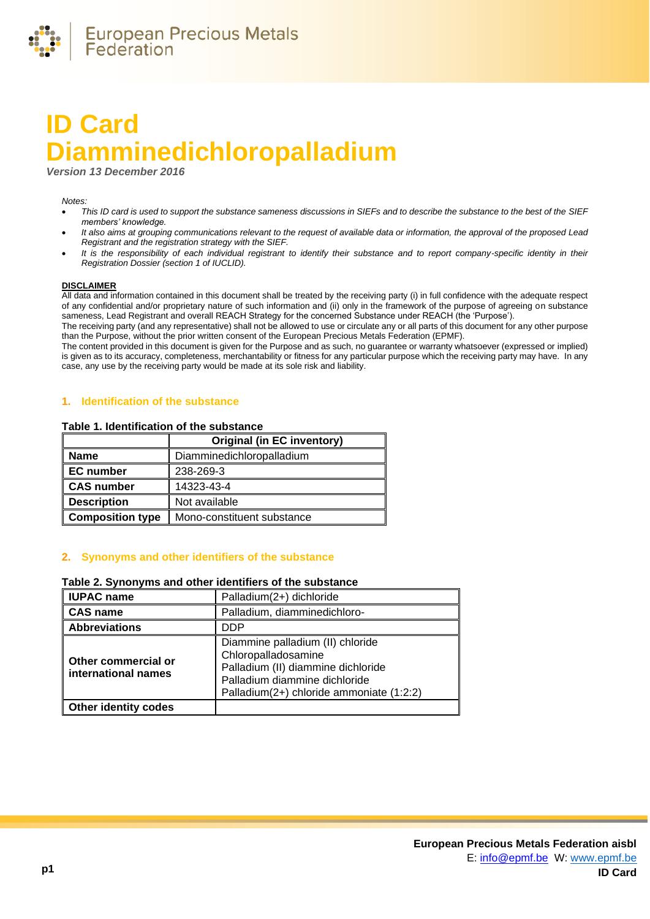

# **ID Card Diamminedichloropalladium**

*Version 13 December 2016*

#### *Notes:*

- *This ID card is used to support the substance sameness discussions in SIEFs and to describe the substance to the best of the SIEF members' knowledge.*
- *It also aims at grouping communications relevant to the request of available data or information, the approval of the proposed Lead Registrant and the registration strategy with the SIEF.*
- *It is the responsibility of each individual registrant to identify their substance and to report company-specific identity in their Registration Dossier (section 1 of IUCLID).*

#### **DISCLAIMER**

All data and information contained in this document shall be treated by the receiving party (i) in full confidence with the adequate respect of any confidential and/or proprietary nature of such information and (ii) only in the framework of the purpose of agreeing on substance sameness, Lead Registrant and overall REACH Strategy for the concerned Substance under REACH (the 'Purpose').

The receiving party (and any representative) shall not be allowed to use or circulate any or all parts of this document for any other purpose than the Purpose, without the prior written consent of the European Precious Metals Federation (EPMF).

The content provided in this document is given for the Purpose and as such, no guarantee or warranty whatsoever (expressed or implied) is given as to its accuracy, completeness, merchantability or fitness for any particular purpose which the receiving party may have. In any case, any use by the receiving party would be made at its sole risk and liability.

## **1. Identification of the substance**

#### **Table 1. Identification of the substance**

|                         | <b>Original (in EC inventory)</b> |
|-------------------------|-----------------------------------|
| <b>Name</b>             | Diamminedichloropalladium         |
| <b>EC</b> number        | 238-269-3                         |
| <b>CAS number</b>       | 14323-43-4                        |
| <b>Description</b>      | Not available                     |
| <b>Composition type</b> | Mono-constituent substance        |

## **2. Synonyms and other identifiers of the substance**

## **Table 2. Synonyms and other identifiers of the substance**

| <b>IUPAC name</b>                          | Palladium(2+) dichloride                                                                                                                                                   |
|--------------------------------------------|----------------------------------------------------------------------------------------------------------------------------------------------------------------------------|
| <b>CAS name</b>                            | Palladium, diamminedichloro-                                                                                                                                               |
| <b>Abbreviations</b>                       | <b>DDP</b>                                                                                                                                                                 |
| Other commercial or<br>international names | Diammine palladium (II) chloride<br>Chloropalladosamine<br>Palladium (II) diammine dichloride<br>Palladium diammine dichloride<br>Palladium(2+) chloride ammoniate (1:2:2) |
| <b>Other identity codes</b>                |                                                                                                                                                                            |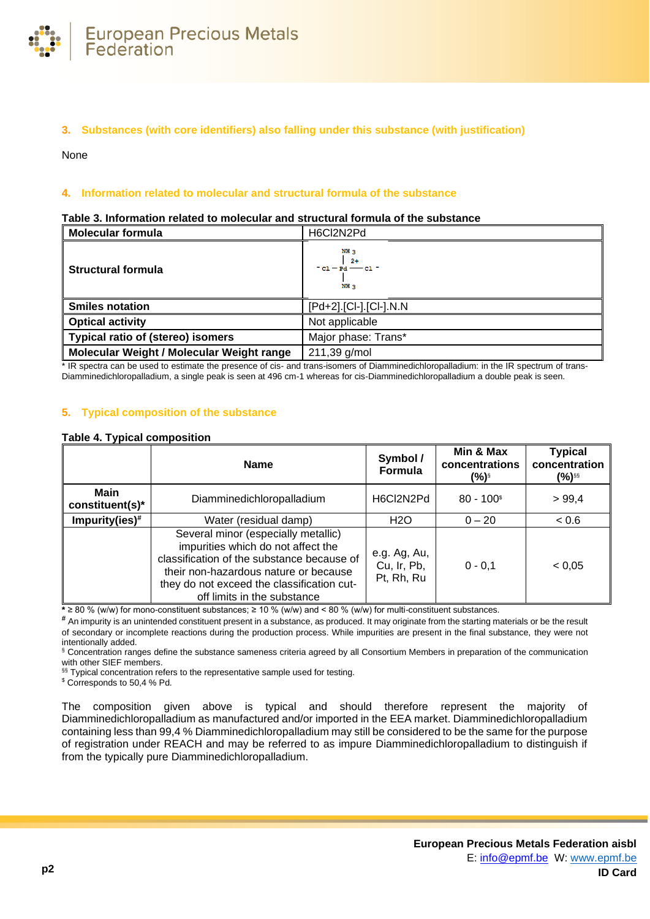

# **3. Substances (with core identifiers) also falling under this substance (with justification)**

None

## **4. Information related to molecular and structural formula of the substance**

#### **Table 3. Information related to molecular and structural formula of the substance**

| <b>Molecular formula</b>                  | H6Cl2N2Pd                                                     |
|-------------------------------------------|---------------------------------------------------------------|
| Structural formula                        | NH 3<br>$2+$<br>$-$ c1 $-$ Pd $-$ - c1 $-$<br>NH <sub>3</sub> |
| <b>Smiles notation</b>                    | [Pd+2].[Cl-].[Cl-].N.N                                        |
| <b>Optical activity</b>                   | Not applicable                                                |
| <b>Typical ratio of (stereo) isomers</b>  | Major phase: Trans*                                           |
| Molecular Weight / Molecular Weight range | 211,39 g/mol                                                  |

\* IR spectra can be used to estimate the presence of cis- and trans-isomers of Diamminedichloropalladium: in the IR spectrum of trans-Diamminedichloropalladium, a single peak is seen at 496 cm-1 whereas for cis-Diamminedichloropalladium a double peak is seen.

#### **5. Typical composition of the substance**

## <span id="page-1-0"></span>**Table 4. Typical composition**

|                                | <b>Name</b>                                                                                                                                                                                                                                   | Symbol /<br>Formula                       | Min & Max<br>concentrations<br>$(%)^{s}$ | <b>Typical</b><br>concentration<br>(%)§§ |
|--------------------------------|-----------------------------------------------------------------------------------------------------------------------------------------------------------------------------------------------------------------------------------------------|-------------------------------------------|------------------------------------------|------------------------------------------|
| <b>Main</b><br>constituent(s)* | Diamminedichloropalladium                                                                                                                                                                                                                     | H6Cl2N2Pd                                 | $80 - 100$ <sup>\$</sup>                 | > 99,4                                   |
| Impurity(ies) $#$              | Water (residual damp)                                                                                                                                                                                                                         | H <sub>2</sub> O                          | $0 - 20$                                 | < 0.6                                    |
|                                | Several minor (especially metallic)<br>impurities which do not affect the<br>classification of the substance because of<br>their non-hazardous nature or because<br>they do not exceed the classification cut-<br>off limits in the substance | e.g. Ag, Au,<br>Cu, Ir, Pb,<br>Pt, Rh, Ru | $0 - 0.1$                                | < 0.05                                   |

**\*** ≥ 80 % (w/w) for mono-constituent substances; ≥ 10 % (w/w) and < 80 % (w/w) for multi-constituent substances.

**#** An impurity is an unintended constituent present in a substance, as produced. It may originate from the starting materials or be the result of secondary or incomplete reactions during the production process. While impurities are present in the final substance, they were not intentionally added.

§ Concentration ranges define the substance sameness criteria agreed by all Consortium Members in preparation of the communication with other SIEF members.

§§ Typical concentration refers to the representative sample used for testing.

\$ Corresponds to 50,4 % Pd.

The composition given above is typical and should therefore represent the majority of Diamminedichloropalladium as manufactured and/or imported in the EEA market. Diamminedichloropalladium containing less than 99,4 % Diamminedichloropalladium may still be considered to be the same for the purpose of registration under REACH and may be referred to as impure Diamminedichloropalladium to distinguish if from the typically pure Diamminedichloropalladium.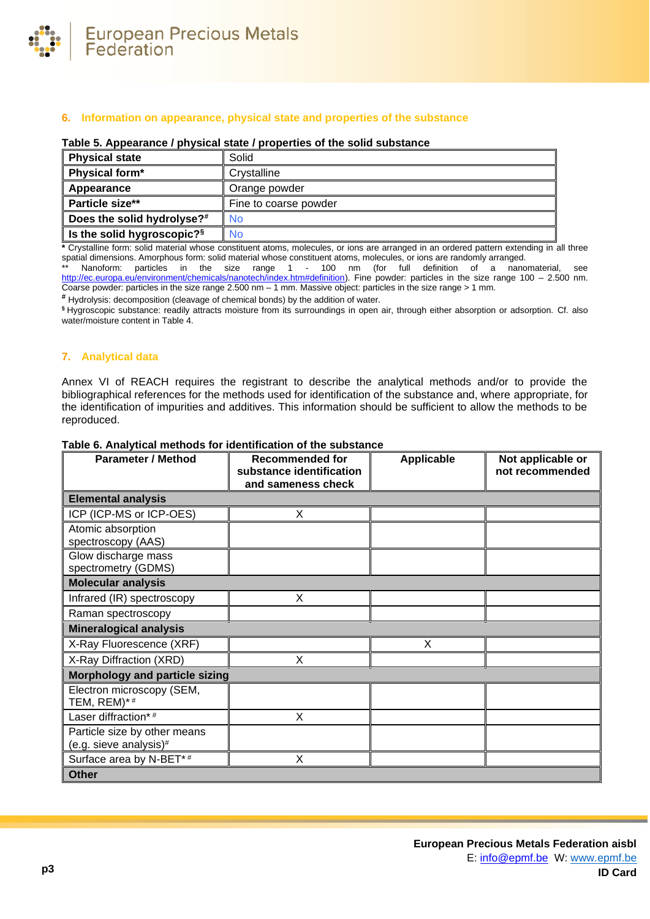

# **6. Information on appearance, physical state and properties of the substance**

## **Table 5. Appearance / physical state / properties of the solid substance**

| <b>Physical state</b>                  | Solid                 |
|----------------------------------------|-----------------------|
| Physical form*                         | Crystalline           |
| Appearance                             | Orange powder         |
| Particle size**                        | Fine to coarse powder |
| Does the solid hydrolyse?#             | No                    |
| Is the solid hygroscopic? <sup>§</sup> | <b>No</b>             |

**\*** Crystalline form: solid material whose constituent atoms, molecules, or ions are arranged in an ordered pattern extending in all three spatial dimensions. Amorphous form: solid material whose constituent atoms, molecules, or ions are randomly arranged.

\*\* Nanoform: particles in the size range 1 - 100 nm (for full definition of a nanomaterial, see [http://ec.europa.eu/environment/chemicals/nanotech/index.htm#definition\)](http://ec.europa.eu/environment/chemicals/nanotech/index.htm#definition). Fine powder: particles in the size range 100 – 2.500 nm. Coarse powder: particles in the size range 2.500 nm – 1 mm. Massive object: particles in the size range > 1 mm.

**#** Hydrolysis: decomposition (cleavage of chemical bonds) by the addition of water.

**§** Hygroscopic substance: readily attracts moisture from its surroundings in open air, through either absorption or adsorption. Cf. also water/moisture content i[n Table 4.](#page-1-0)

## **7. Analytical data**

Annex VI of REACH requires the registrant to describe the analytical methods and/or to provide the bibliographical references for the methods used for identification of the substance and, where appropriate, for the identification of impurities and additives. This information should be sufficient to allow the methods to be reproduced.

| <b>Parameter / Method</b>                              | <b>Recommended for</b><br>substance identification<br>and sameness check | <b>Applicable</b> | Not applicable or<br>not recommended |
|--------------------------------------------------------|--------------------------------------------------------------------------|-------------------|--------------------------------------|
| <b>Elemental analysis</b>                              |                                                                          |                   |                                      |
| ICP (ICP-MS or ICP-OES)                                | X                                                                        |                   |                                      |
| Atomic absorption<br>spectroscopy (AAS)                |                                                                          |                   |                                      |
| Glow discharge mass<br>spectrometry (GDMS)             |                                                                          |                   |                                      |
| <b>Molecular analysis</b>                              |                                                                          |                   |                                      |
| Infrared (IR) spectroscopy                             | X                                                                        |                   |                                      |
| Raman spectroscopy                                     |                                                                          |                   |                                      |
| <b>Mineralogical analysis</b>                          |                                                                          |                   |                                      |
| X-Ray Fluorescence (XRF)                               |                                                                          | X                 |                                      |
| X-Ray Diffraction (XRD)                                | X                                                                        |                   |                                      |
| Morphology and particle sizing                         |                                                                          |                   |                                      |
| Electron microscopy (SEM,<br>TEM, $REM$ )*#            |                                                                          |                   |                                      |
| Laser diffraction*#                                    | X                                                                        |                   |                                      |
| Particle size by other means<br>(e.g. sieve analysis)# |                                                                          |                   |                                      |
| Surface area by N-BET*#                                | X                                                                        |                   |                                      |
| <b>Other</b>                                           |                                                                          |                   |                                      |

#### **Table 6. Analytical methods for identification of the substance**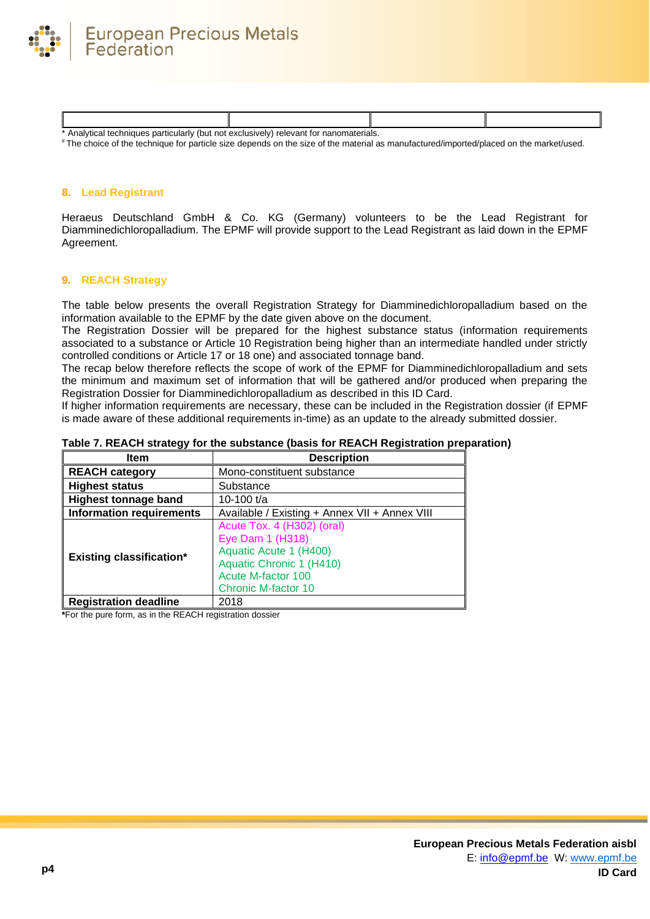

| relevant for nanomaterials.<br>. particulariv<br>' (but not<br>Analytical techniques<br>exclusivelv |  |  |  |
|-----------------------------------------------------------------------------------------------------|--|--|--|

# The choice of the technique for particle size depends on the size of the material as manufactured/imported/placed on the market/used.

## **8. Lead Registrant**

Heraeus Deutschland GmbH & Co. KG (Germany) volunteers to be the Lead Registrant for Diamminedichloropalladium. The EPMF will provide support to the Lead Registrant as laid down in the EPMF Agreement.

## **9. REACH Strategy**

The table below presents the overall Registration Strategy for Diamminedichloropalladium based on the information available to the EPMF by the date given above on the document.

The Registration Dossier will be prepared for the highest substance status (information requirements associated to a substance or Article 10 Registration being higher than an intermediate handled under strictly controlled conditions or Article 17 or 18 one) and associated tonnage band.

The recap below therefore reflects the scope of work of the EPMF for Diamminedichloropalladium and sets the minimum and maximum set of information that will be gathered and/or produced when preparing the Registration Dossier for Diamminedichloropalladium as described in this ID Card.

If higher information requirements are necessary, these can be included in the Registration dossier (if EPMF is made aware of these additional requirements in-time) as an update to the already submitted dossier.

| Table 7. REACH strategy for the substance (basis for REACH Registration preparation) |  |
|--------------------------------------------------------------------------------------|--|
|                                                                                      |  |

| Item                            | <b>Description</b>                                                                                                                                       |
|---------------------------------|----------------------------------------------------------------------------------------------------------------------------------------------------------|
| <b>REACH category</b>           | Mono-constituent substance                                                                                                                               |
| <b>Highest status</b>           | Substance                                                                                                                                                |
| <b>Highest tonnage band</b>     | 10-100 t/a                                                                                                                                               |
| <b>Information requirements</b> | Available / Existing + Annex VII + Annex VIII                                                                                                            |
| <b>Existing classification*</b> | Acute Tox. 4 (H302) (oral)<br>Eye Dam 1 (H318)<br>Aquatic Acute 1 (H400)<br>Aquatic Chronic 1 (H410)<br>Acute M-factor 100<br><b>Chronic M-factor 10</b> |
| <b>Registration deadline</b>    | 2018                                                                                                                                                     |

**\***For the pure form, as in the REACH registration dossier